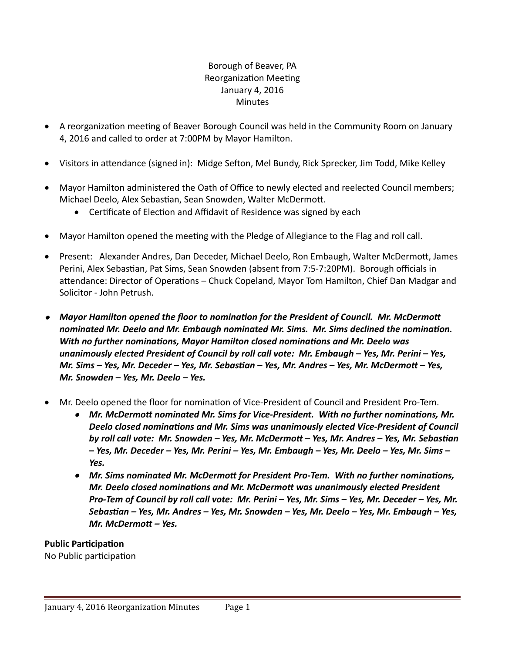## Borough of Beaver, PA Reorganization Meeting January 4, 2016 **Minutes**

- A reorganization meeting of Beaver Borough Council was held in the Community Room on January 4, 2016 and called to order at 7:00PM by Mayor Hamilton.
- Visitors in attendance (signed in): Midge Sefton, Mel Bundy, Rick Sprecker, Jim Todd, Mike Kelley
- Mayor Hamilton administered the Oath of Office to newly elected and reelected Council members; Michael Deelo, Alex Sebastian, Sean Snowden, Walter McDermott.
	- Certificate of Election and Affidavit of Residence was signed by each
- Mayor Hamilton opened the meeting with the Pledge of Allegiance to the Flag and roll call.
- Present: Alexander Andres, Dan Deceder, Michael Deelo, Ron Embaugh, Walter McDermott, James Perini, Alex Sebastian, Pat Sims, Sean Snowden (absent from 7:5-7:20PM). Borough officials in attendance: Director of Operations – Chuck Copeland, Mayor Tom Hamilton, Chief Dan Madgar and Solicitor - John Petrush.
- *Mayor Hamilton opened the floor to nomination for the President of Council. Mr. McDermott nominated Mr. Deelo and Mr. Embaugh nominated Mr. Sims. Mr. Sims declined the nomination. With no further nominations, Mayor Hamilton closed nominations and Mr. Deelo was unanimously elected President of Council by roll call vote: Mr. Embaugh – Yes, Mr. Perini – Yes, Mr. Sims – Yes, Mr. Deceder – Yes, Mr. Sebastian – Yes, Mr. Andres – Yes, Mr. McDermott – Yes, Mr. Snowden – Yes, Mr. Deelo – Yes.*
- Mr. Deelo opened the floor for nomination of Vice-President of Council and President Pro-Tem.
	- *Mr. McDermott nominated Mr. Sims for Vice-President. With no further nominations, Mr. Deelo closed nominations and Mr. Sims was unanimously elected Vice-President of Council by roll call vote: Mr. Snowden – Yes, Mr. McDermott – Yes, Mr. Andres – Yes, Mr. Sebastian – Yes, Mr. Deceder – Yes, Mr. Perini – Yes, Mr. Embaugh – Yes, Mr. Deelo – Yes, Mr. Sims – Yes.*
	- *Mr. Sims nominated Mr. McDermott for President Pro-Tem. With no further nominations, Mr. Deelo closed nominations and Mr. McDermott was unanimously elected President Pro-Tem of Council by roll call vote: Mr. Perini – Yes, Mr. Sims – Yes, Mr. Deceder – Yes, Mr. Sebastian – Yes, Mr. Andres – Yes, Mr. Snowden – Yes, Mr. Deelo – Yes, Mr. Embaugh – Yes, Mr. McDermott – Yes.*

**Public Participation** 

No Public participation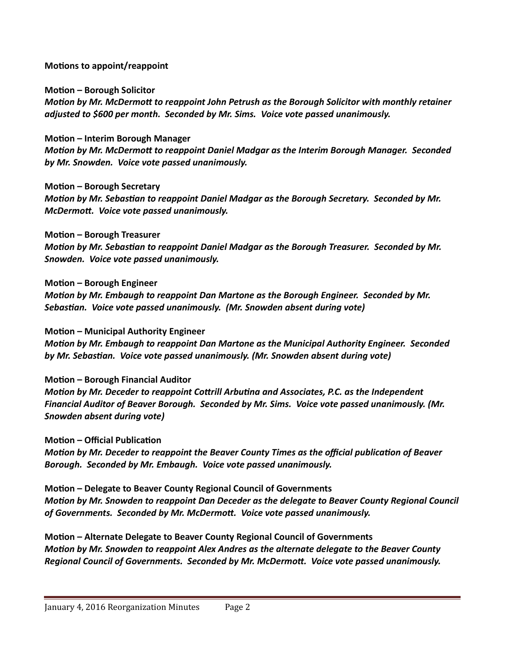**Motions to appoint/reappoint**

**Motion – Borough Solicitor**

*Motion by Mr. McDermott to reappoint John Petrush as the Borough Solicitor with monthly retainer adjusted to \$600 per month. Seconded by Mr. Sims. Voice vote passed unanimously.*

**Motion – Interim Borough Manager**

*McDermott. Voice vote passed unanimously.*

*Motion by Mr. McDermott to reappoint Daniel Madgar as the Interim Borough Manager. Seconded by Mr. Snowden. Voice vote passed unanimously.*

**Motion – Borough Secretary** *Motion by Mr. Sebastian to reappoint Daniel Madgar as the Borough Secretary. Seconded by Mr.* 

**Motion – Borough Treasurer** *Motion by Mr. Sebastian to reappoint Daniel Madgar as the Borough Treasurer. Seconded by Mr. Snowden. Voice vote passed unanimously.*

**Motion – Borough Engineer**

*Motion by Mr. Embaugh to reappoint Dan Martone as the Borough Engineer. Seconded by Mr. Sebastian. Voice vote passed unanimously. (Mr. Snowden absent during vote)*

**Motion – Municipal Authority Engineer**

*Motion by Mr. Embaugh to reappoint Dan Martone as the Municipal Authority Engineer. Seconded by Mr. Sebastian. Voice vote passed unanimously. (Mr. Snowden absent during vote)*

**Motion – Borough Financial Auditor**

*Motion by Mr. Deceder to reappoint Cottrill Arbutina and Associates, P.C. as the Independent Financial Auditor of Beaver Borough. Seconded by Mr. Sims. Voice vote passed unanimously. (Mr. Snowden absent during vote)*

**Motion – Official Publication**

*Motion by Mr. Deceder to reappoint the Beaver County Times as the official publication of Beaver Borough. Seconded by Mr. Embaugh. Voice vote passed unanimously.*

**Motion – Delegate to Beaver County Regional Council of Governments** *Motion by Mr. Snowden to reappoint Dan Deceder as the delegate to Beaver County Regional Council of Governments. Seconded by Mr. McDermott. Voice vote passed unanimously.*

**Motion – Alternate Delegate to Beaver County Regional Council of Governments** *Motion by Mr. Snowden to reappoint Alex Andres as the alternate delegate to the Beaver County Regional Council of Governments. Seconded by Mr. McDermott. Voice vote passed unanimously.*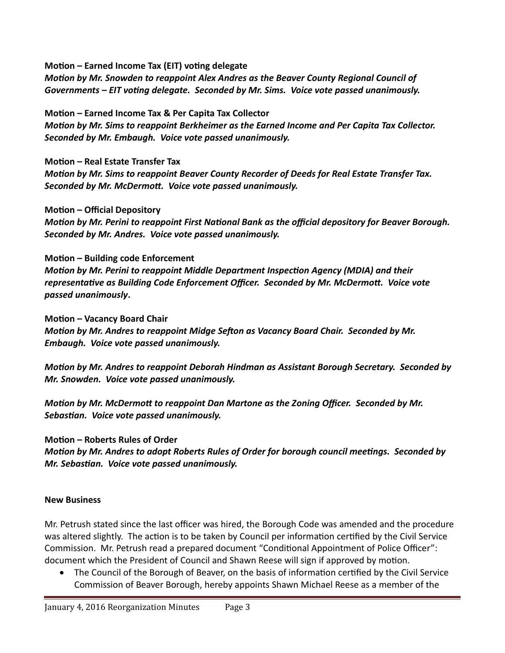**Motion – Earned Income Tax (EIT) voting delegate**

*Motion by Mr. Snowden to reappoint Alex Andres as the Beaver County Regional Council of Governments – EIT voting delegate. Seconded by Mr. Sims. Voice vote passed unanimously.*

**Motion – Earned Income Tax & Per Capita Tax Collector** *Motion by Mr. Sims to reappoint Berkheimer as the Earned Income and Per Capita Tax Collector. Seconded by Mr. Embaugh. Voice vote passed unanimously.*

**Motion – Real Estate Transfer Tax**

*Motion by Mr. Sims to reappoint Beaver County Recorder of Deeds for Real Estate Transfer Tax. Seconded by Mr. McDermott. Voice vote passed unanimously.*

#### **Motion – Official Depository**

*Motion by Mr. Perini to reappoint First National Bank as the official depository for Beaver Borough. Seconded by Mr. Andres. Voice vote passed unanimously.*

## **Motion – Building code Enforcement**

*Motion by Mr. Perini to reappoint Middle Department Inspection Agency (MDIA) and their representative as Building Code Enforcement Officer. Seconded by Mr. McDermott. Voice vote passed unanimously***.**

#### **Motion – Vacancy Board Chair**

*Motion by Mr. Andres to reappoint Midge Sefton as Vacancy Board Chair. Seconded by Mr. Embaugh. Voice vote passed unanimously.*

*Motion by Mr. Andres to reappoint Deborah Hindman as Assistant Borough Secretary. Seconded by Mr. Snowden. Voice vote passed unanimously.*

*Motion by Mr. McDermott to reappoint Dan Martone as the Zoning Officer. Seconded by Mr. Sebastian. Voice vote passed unanimously.*

## **Motion – Roberts Rules of Order**

*Motion by Mr. Andres to adopt Roberts Rules of Order for borough council meetings. Seconded by Mr. Sebastian. Voice vote passed unanimously.*

#### **New Business**

Mr. Petrush stated since the last officer was hired, the Borough Code was amended and the procedure was altered slightly. The action is to be taken by Council per information certified by the Civil Service Commission. Mr. Petrush read a prepared document "Conditional Appointment of Police Officer": document which the President of Council and Shawn Reese will sign if approved by motion.

 The Council of the Borough of Beaver, on the basis of information certified by the Civil Service Commission of Beaver Borough, hereby appoints Shawn Michael Reese as a member of the